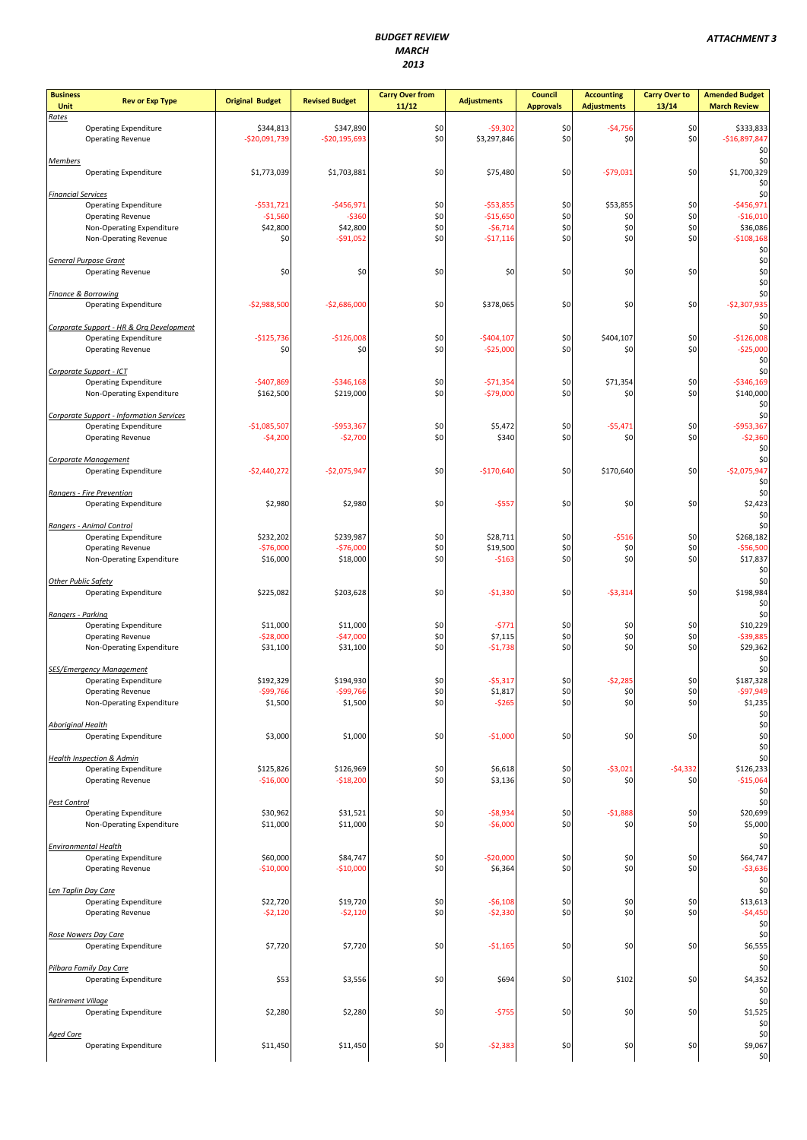| <b>Business</b><br>Unit   | <b>Rev or Exp Type</b>                                                   | <b>Original Budget</b>      | <b>Revised Budget</b>       | <b>Carry Over from</b><br>11/12 | <b>Adjustments</b>        | Council<br><b>Approvals</b> | <b>Accounting</b><br><b>Adjustments</b> | <b>Carry Over to</b><br>13/14 | <b>Amended Budget</b><br><b>March Review</b> |
|---------------------------|--------------------------------------------------------------------------|-----------------------------|-----------------------------|---------------------------------|---------------------------|-----------------------------|-----------------------------------------|-------------------------------|----------------------------------------------|
| Rates                     | <b>Operating Expenditure</b><br><b>Operating Revenue</b>                 | \$344,813<br>$-$20,091,739$ | \$347,890<br>$-$20,195,693$ | \$0<br>\$0                      | $-$9,302$<br>\$3,297,846  | \$0<br>\$0                  | $-54,756$<br>\$0                        | \$0<br>\$0                    | \$333,833<br>$-$16,897,847$                  |
|                           |                                                                          |                             |                             |                                 |                           |                             |                                         |                               | \$0                                          |
| <b>Members</b>            | <b>Operating Expenditure</b>                                             | \$1,773,039                 | \$1,703,881                 | \$0                             | \$75,480                  | \$0                         | $-$79,031$                              | \$0                           | \$0<br>\$1,700,329<br>\$0                    |
| <b>Financial Services</b> | <b>Operating Expenditure</b>                                             | $-5531,721$                 | $-$456,971$                 | \$0                             | $-$53,855$                | \$0                         | \$53,855                                | \$0                           | \$0<br>$-$456,971$                           |
|                           | <b>Operating Revenue</b>                                                 | $-$1,560$                   | $-5360$                     | \$0                             | $-$15,650$                | \$0                         | \$0                                     | \$0                           | $-$16,010$                                   |
|                           | Non-Operating Expenditure<br>Non-Operating Revenue                       | \$42,800<br>\$0             | \$42,800<br>$-$ \$91,052    | \$0<br>\$0                      | $-56,714$<br>$-$17,116$   | \$0<br>\$0                  | \$0<br>\$0                              | \$0<br>\$0                    | \$36,086<br>$-5108,168$<br>\$0               |
|                           | <b>General Purpose Grant</b><br><b>Operating Revenue</b>                 | \$0                         | \$0                         | \$0                             | \$0                       | \$0                         | \$0                                     | \$0                           | \$0<br>\$0<br>\$0                            |
|                           | <b>Finance &amp; Borrowing</b><br><b>Operating Expenditure</b>           | $-$2,988,500$               | $-$2,686,000$               | \$0                             | \$378,065                 | \$0                         | \$0                                     | \$0                           | \$0<br>$-52,307,935$<br>\$0                  |
|                           | Corporate Support - HR & Org Development                                 |                             |                             |                                 |                           |                             |                                         |                               | \$0                                          |
|                           | <b>Operating Expenditure</b><br><b>Operating Revenue</b>                 | $-$125,736$<br>\$0          | $-$126,008$<br>\$0          | \$0<br>\$0                      | $-$404,107$<br>$-$25,000$ | \$0<br>\$0                  | \$404,107<br>\$0                        | \$0<br>\$0                    | $-$126,008$<br>$-525,000$<br>\$0             |
|                           | Corporate Support - ICT                                                  |                             |                             |                                 |                           |                             |                                         |                               | \$0                                          |
|                           | <b>Operating Expenditure</b><br>Non-Operating Expenditure                | $-5407,869$<br>\$162,500    | $-5346,168$<br>\$219,000    | \$0<br>\$0                      | $-571,354$<br>$-$79,000$  | \$0<br>\$0                  | \$71,354<br>\$0                         | \$0<br>\$0                    | $-5346,169$<br>\$140,000<br>\$0              |
|                           | Corporate Support - Information Services<br><b>Operating Expenditure</b> | $-$1,085,507$               | -\$953,367                  |                                 | \$5,472                   | \$0                         | $-$5,471$                               | \$0                           | \$0<br>$-$953,367$                           |
|                           | <b>Operating Revenue</b>                                                 | $-54,200$                   | $-52,700$                   | \$0<br>\$0                      | \$340                     | \$0                         | \$0                                     | \$0                           | $-52,360$<br>\$0                             |
|                           | Corporate Management<br><b>Operating Expenditure</b>                     | $-$2,440,272$               | $-$2,075,947$               | \$0                             | $-$170,640$               | \$0                         | \$170,640                               | \$0                           | \$0<br>$-52,075,947$<br>\$0                  |
|                           | Rangers - Fire Prevention<br><b>Operating Expenditure</b>                | \$2,980                     | \$2,980                     | \$0                             | $-$557$                   | \$0                         | \$0                                     | \$0                           | \$0<br>\$2,423<br>\$0                        |
|                           | Rangers - Animal Control                                                 |                             |                             |                                 |                           |                             |                                         |                               | \$0                                          |
|                           | <b>Operating Expenditure</b><br><b>Operating Revenue</b>                 | \$232,202<br>$-$76,000$     | \$239,987<br>$-$76,000$     | \$0<br>\$0                      | \$28,711<br>\$19,500      | \$0<br>\$0                  | $-5516$<br>\$0                          | \$0<br>\$0                    | \$268,182<br>$- $56,500$                     |
|                           | Non-Operating Expenditure                                                | \$16,000                    | \$18,000                    | \$0                             | $-5163$                   | \$0                         | \$0                                     | \$0                           | \$17,837<br>\$0                              |
| Other Public Safety       |                                                                          |                             |                             |                                 |                           |                             |                                         |                               | \$0                                          |
| Rangers - Parking         | <b>Operating Expenditure</b>                                             | \$225,082                   | \$203,628                   | \$0                             | $-$1,330$                 | \$0                         | $-53,314$                               | \$0                           | \$198,984<br>\$0<br>\$0                      |
|                           | <b>Operating Expenditure</b>                                             | \$11,000                    | \$11,000                    | \$0                             | $-5771$                   | \$0                         | \$0                                     | \$0                           | \$10,229                                     |
|                           | <b>Operating Revenue</b><br>Non-Operating Expenditure                    | -\$28,000<br>\$31,100       | -\$47,000<br>\$31,100       | \$0<br>\$0                      | \$7,115<br>$-$1,738$      | \$0<br>\$0                  | \$0<br>\$0                              | \$0<br>\$0                    | $-539,885$<br>\$29,362                       |
|                           | <b>SES/Emergency Management</b>                                          |                             |                             |                                 |                           |                             |                                         |                               | \$0<br>\$0                                   |
|                           | <b>Operating Expenditure</b><br><b>Operating Revenue</b>                 | \$192,329<br>-\$99,766      | \$194,930<br>-\$99,766      | \$0<br>\$0                      | $-$5,317$<br>\$1,817      | \$0<br>\$0                  | $-52,285$<br>\$0                        | \$0<br>\$0                    | \$187,328<br>-\$97,949                       |
|                           | Non-Operating Expenditure                                                | \$1,500                     | \$1,500                     | \$0                             | $-5265$                   | \$0                         | \$0                                     | \$0                           | \$1,235<br>\$0                               |
| <b>Aboriginal Health</b>  | <b>Operating Expenditure</b>                                             | \$3,000                     | \$1,000                     | \$0                             | $-$1,000$                 | \$0                         | \$0                                     | \$0                           | \$0<br>\$0<br>\$0                            |
|                           | <b>Health Inspection &amp; Admin</b>                                     |                             |                             |                                 |                           |                             |                                         |                               | \$0                                          |
|                           | <b>Operating Expenditure</b><br><b>Operating Revenue</b>                 | \$125,826<br>$-$16,000$     | \$126,969<br>$-$18,200$     | \$0<br>\$0                      | \$6,618<br>\$3,136        | \$0<br>\$0                  | $-53,021$<br>\$0                        | $-$4,332$<br>\$0              | \$126,233<br>$-$15,064$<br>\$0               |
| <b>Pest Control</b>       |                                                                          |                             |                             |                                 |                           | \$0                         |                                         | \$0                           | \$0                                          |
|                           | <b>Operating Expenditure</b><br>Non-Operating Expenditure                | \$30,962<br>\$11,000        | \$31,521<br>\$11,000        | \$0<br>\$0                      | $-$8,934$<br>-\$6,000     | \$0                         | $-51,888$<br>\$0                        | \$0                           | \$20,699<br>\$5,000<br>\$0                   |
|                           | <b>Environmental Health</b><br><b>Operating Expenditure</b>              | \$60,000                    | \$84,747                    | \$0                             | $-$20,000$                | \$0                         | \$0                                     | \$0                           | \$0<br>\$64,747                              |
|                           | <b>Operating Revenue</b>                                                 | $-$10,000$                  | $-$10,000$                  | \$0                             | \$6,364                   | \$0                         | \$0                                     | \$0                           | $-53,636$<br>\$0                             |
|                           | Len Taplin Day Care<br><b>Operating Expenditure</b>                      | \$22,720                    | \$19,720                    | \$0                             | $-$6,108$                 | \$0                         | \$0                                     | \$0                           | \$0<br>\$13,613                              |
|                           | <b>Operating Revenue</b>                                                 | $-52,120$                   | $-52,120$                   | \$0                             | $-$2,330$                 | \$0                         | \$0                                     | \$0                           | $-$4,450$<br>\$0                             |
|                           | Rose Nowers Day Care<br><b>Operating Expenditure</b>                     | \$7,720                     | \$7,720                     | \$0                             | -\$1,165                  | \$0                         | \$0                                     | \$0                           | \$0<br>\$6,555<br>\$0                        |
|                           | Pilbara Family Day Care<br><b>Operating Expenditure</b>                  | \$53                        | \$3,556                     | \$0                             | \$694                     | \$0                         | \$102                                   | \$0                           | \$0<br>\$4,352<br>\$0                        |
| <b>Retirement Village</b> | <b>Operating Expenditure</b>                                             | \$2,280                     | \$2,280                     | \$0                             | $-5755$                   | \$0                         | \$0                                     | \$0                           | \$0<br>\$1,525<br>\$0                        |
| <b>Aged Care</b>          | <b>Operating Expenditure</b>                                             | \$11,450                    | \$11,450                    | \$0                             | $-52,383$                 | \$0                         | \$0                                     | \$0                           | \$0<br>\$9,067<br>\$0                        |
|                           |                                                                          |                             |                             |                                 |                           |                             |                                         |                               |                                              |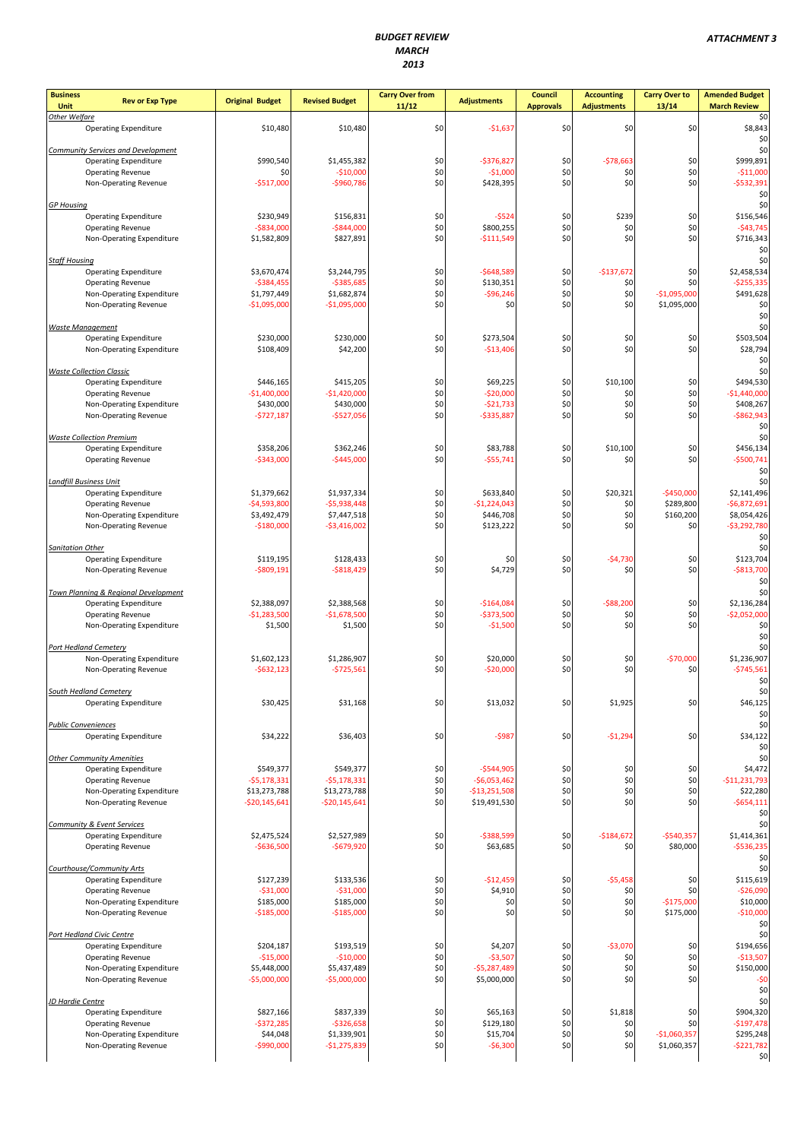| <b>Business</b><br><b>Rev or Exp Type</b><br>Unit                    | <b>Original Budget</b>        | <b>Revised Budget</b>         | <b>Carry Over from</b><br>11/12 | <b>Adjustments</b>            | <b>Council</b><br><b>Approvals</b> | <b>Accounting</b><br><b>Adjustments</b> | <b>Carry Over to</b><br>13/14 | <b>Amended Budget</b><br><b>March Review</b> |
|----------------------------------------------------------------------|-------------------------------|-------------------------------|---------------------------------|-------------------------------|------------------------------------|-----------------------------------------|-------------------------------|----------------------------------------------|
| Other Welfare                                                        |                               |                               |                                 |                               |                                    |                                         |                               | \$0<br>\$8,843                               |
| <b>Operating Expenditure</b>                                         | \$10,480                      | \$10,480                      | \$0                             | $-$1,637$                     | \$0                                | \$0                                     | \$0                           | \$0                                          |
| <b>Community Services and Development</b>                            | \$990,540                     | \$1,455,382                   |                                 | $-$376,827$                   | \$0                                | $-578,663$                              | \$0                           | \$0<br>\$999,891                             |
| <b>Operating Expenditure</b><br><b>Operating Revenue</b>             | \$0                           | $-$10,000$                    | \$0<br>\$0                      | $-$1,000$                     | \$0                                | \$0                                     | \$0                           | $-511,000$                                   |
| Non-Operating Revenue                                                | $-$517,000$                   | -\$960,786                    | \$0                             | \$428,395                     | \$0                                | \$0                                     | \$0                           | $-5532,391$                                  |
| <b>GP Housing</b>                                                    |                               |                               |                                 |                               |                                    |                                         |                               | \$0<br>\$0                                   |
| <b>Operating Expenditure</b>                                         | \$230,949                     | \$156,831                     | \$0                             | $-$524$                       | \$0                                | \$239                                   | \$0                           | \$156,546                                    |
| <b>Operating Revenue</b>                                             | $-$834,000$                   | $-$ \$844,000                 | \$0<br>\$0                      | \$800,255                     | \$0<br>\$0                         | \$0<br>\$0                              | \$0<br>\$0                    | $-$43,745$                                   |
| Non-Operating Expenditure                                            | \$1,582,809                   | \$827,891                     |                                 | $-$111,549$                   |                                    |                                         |                               | \$716,343<br>\$0                             |
| <b>Staff Housing</b>                                                 |                               |                               |                                 |                               |                                    |                                         |                               | \$0                                          |
| <b>Operating Expenditure</b><br><b>Operating Revenue</b>             | \$3,670,474<br>$-5384,455$    | \$3,244,795<br>$-5385,685$    | \$0<br>\$0                      | $-$648,589$<br>\$130,351      | \$0<br>\$0                         | $-$137,672$<br>\$0                      | \$0<br>\$0                    | \$2,458,534<br>$-$255,335$                   |
| Non-Operating Expenditure                                            | \$1,797,449                   | \$1,682,874                   | \$0                             | $-$96,246$                    | \$0                                | \$0                                     | $-$1,095,000$                 | \$491,628                                    |
| Non-Operating Revenue                                                | $-$1,095,000$                 | $-$1,095,000$                 | \$0                             | \$0                           | \$0                                | \$0                                     | \$1,095,000                   | \$0                                          |
| <b>Waste Management</b>                                              |                               |                               |                                 |                               |                                    |                                         |                               | \$0<br>\$0                                   |
| <b>Operating Expenditure</b>                                         | \$230,000                     | \$230,000                     | \$0                             | \$273,504                     | \$0                                | \$0                                     | \$0                           | \$503,504                                    |
| Non-Operating Expenditure                                            | \$108,409                     | \$42,200                      | \$0                             | $-$13,406$                    | \$0                                | \$0                                     | \$0                           | \$28,794<br>\$0                              |
| <b>Waste Collection Classic</b>                                      |                               |                               |                                 |                               |                                    |                                         |                               | \$0                                          |
| <b>Operating Expenditure</b>                                         | \$446,165                     | \$415,205                     | \$0                             | \$69,225                      | \$0                                | \$10,100                                | \$0                           | \$494,530                                    |
| <b>Operating Revenue</b><br>Non-Operating Expenditure                | $-$1,400,000$<br>\$430,000    | $-$1,420,000$<br>\$430,000    | \$0<br>\$0                      | $-$20,000$<br>$-521,733$      | \$0<br>\$0                         | \$0<br>\$0                              | \$0<br>\$0                    | $-$1,440,000$<br>\$408,267                   |
| Non-Operating Revenue                                                | $-5727,187$                   | $-$527,056$                   | \$0                             | -\$335,887                    | \$0                                | \$0                                     | \$0                           | $-$ \$862,943                                |
|                                                                      |                               |                               |                                 |                               |                                    |                                         |                               | \$0                                          |
| <b>Waste Collection Premium</b><br><b>Operating Expenditure</b>      | \$358,206                     | \$362,246                     | \$0                             | \$83,788                      | \$0                                | \$10,100                                | \$0                           | \$0<br>\$456,134                             |
| <b>Operating Revenue</b>                                             | $-$343,000$                   | $-$445,000$                   | \$0                             | $-$55,741$                    | \$0                                | \$0                                     | \$0                           | $-$500,741$                                  |
| <b>Landfill Business Unit</b>                                        |                               |                               |                                 |                               |                                    |                                         |                               | \$0<br>\$0                                   |
| <b>Operating Expenditure</b>                                         | \$1,379,662                   | \$1,937,334                   | \$0                             | \$633,840                     | \$0                                | \$20,321                                | $-$450,000$                   | \$2,141,496                                  |
| <b>Operating Revenue</b>                                             | $-$4,593,800$                 | $-$5,938,448$                 | \$0                             | $-$1,224,043$                 | \$0                                | \$0                                     | \$289,800                     | $-56,872,691$                                |
| Non-Operating Expenditure<br>Non-Operating Revenue                   | \$3,492,479<br>$-$180,000$    | \$7,447,518<br>$-$3,416,002$  | \$0<br>\$0                      | \$446,708<br>\$123,222        | \$0<br>\$0                         | \$0<br>\$0                              | \$160,200<br>\$0              | \$8,054,426<br>$-53,292,780$                 |
|                                                                      |                               |                               |                                 |                               |                                    |                                         |                               | \$0                                          |
| <b>Sanitation Other</b>                                              |                               |                               |                                 |                               |                                    |                                         |                               | \$0                                          |
| <b>Operating Expenditure</b><br>Non-Operating Revenue                | \$119,195<br>$-$ \$809,191    | \$128,433<br>$-$ \$818,429    | \$0<br>\$0                      | \$0<br>\$4,729                | \$0<br>\$0                         | $-54,730$<br>\$0                        | \$0<br>\$0                    | \$123,704<br>$-$813,700$                     |
|                                                                      |                               |                               |                                 |                               |                                    |                                         |                               | \$0                                          |
| Town Planning & Regional Development<br><b>Operating Expenditure</b> | \$2,388,097                   | \$2,388,568                   | \$0                             | $-$164,084$                   | \$0                                | $-588,200$                              | \$0                           | \$0<br>\$2,136,284                           |
| <b>Operating Revenue</b>                                             | $-$1,283,500$                 | $-$1,678,500$                 | \$0                             | $-$373,500$                   | \$0                                | \$0                                     | \$0                           | $-52,052,000$                                |
| Non-Operating Expenditure                                            | \$1,500                       | \$1,500                       | \$0                             | $-$1,500$                     | \$0                                | \$0                                     | \$0                           | \$0                                          |
| <b>Port Hedland Cemetery</b>                                         |                               |                               |                                 |                               |                                    |                                         |                               | \$0<br>\$0                                   |
| Non-Operating Expenditure                                            | \$1,602,123                   | \$1,286,907                   | \$0                             | \$20,000                      | \$0                                | \$0                                     | $-570,000$                    | \$1,236,907                                  |
| Non-Operating Revenue                                                | $-5632,123$                   | $-$725,561$                   | \$0                             | $-$20,000$                    | \$0                                | \$0                                     | \$0                           | $-5745,561$<br>\$0                           |
| South Hedland Cemetery                                               |                               |                               |                                 |                               |                                    |                                         |                               | \$0                                          |
| <b>Operating Expenditure</b>                                         | \$30,425                      | \$31,168                      | \$0                             | \$13,032                      | \$0                                | \$1,925                                 | \$0                           | \$46,125                                     |
| <b>Public Conveniences</b>                                           |                               |                               |                                 |                               |                                    |                                         |                               | \$0<br>\$0                                   |
| <b>Operating Expenditure</b>                                         | \$34,222                      | \$36,403                      | \$0                             | $-5987$                       | \$0                                | $-51,294$                               | \$0                           | \$34,122                                     |
| <b>Other Community Amenities</b>                                     |                               |                               |                                 |                               |                                    |                                         |                               | \$0<br>\$0                                   |
| <b>Operating Expenditure</b>                                         | \$549,377                     | \$549,377                     | \$0                             | $-5544,905$                   | \$0                                | \$0                                     | \$0                           | \$4,472                                      |
| <b>Operating Revenue</b>                                             | $-55,178,331$                 | $-55,178,331$                 | \$0                             | $-$6,053,462$                 | \$0                                | \$0                                     | \$0                           | $-$11,231,793$                               |
| Non-Operating Expenditure<br>Non-Operating Revenue                   | \$13,273,788<br>-\$20,145,641 | \$13,273,788<br>-\$20,145,641 | \$0<br>\$0                      | -\$13,251,508<br>\$19,491,530 | \$0<br>\$0                         | \$0<br>\$0                              | \$0<br>\$0                    | \$22,280<br>$-5654,111$                      |
|                                                                      |                               |                               |                                 |                               |                                    |                                         |                               | \$0                                          |
| <b>Community &amp; Event Services</b>                                |                               |                               |                                 |                               |                                    |                                         | $-$540,357$                   | \$0                                          |
| <b>Operating Expenditure</b><br><b>Operating Revenue</b>             | \$2,475,524<br>$-$636,500$    | \$2,527,989<br>$-$679,920$    | \$0<br>\$0                      | $-5388,599$<br>\$63,685       | \$0<br>\$0                         | $-$184,672$<br>\$0                      | \$80,000                      | \$1,414,361<br>$-$536,235$                   |
|                                                                      |                               |                               |                                 |                               |                                    |                                         |                               | \$0                                          |
| Courthouse/Community Arts<br><b>Operating Expenditure</b>            | \$127,239                     | \$133,536                     | \$0                             | $-$12,459$                    | \$0                                | $-$5,458$                               | \$0                           | \$0<br>\$115,619                             |
| <b>Operating Revenue</b>                                             | $-531,000$                    | $-531,000$                    | \$0                             | \$4,910                       | \$0                                | \$0                                     | \$0                           | $-$26,090$                                   |
| Non-Operating Expenditure                                            | \$185,000                     | \$185,000                     | \$0                             | \$0                           | \$0                                | \$0                                     | $-$175,000$                   | \$10,000                                     |
| Non-Operating Revenue                                                | $-$185,000$                   | $-$185,000$                   | \$0                             | \$0                           | \$0                                | \$0                                     | \$175,000                     | $-$10,000$<br>\$0                            |
| Port Hedland Civic Centre                                            |                               |                               |                                 |                               |                                    |                                         |                               | \$0                                          |
| <b>Operating Expenditure</b><br><b>Operating Revenue</b>             | \$204,187<br>$-$15,000$       | \$193,519<br>$-$10,000$       | \$0<br>\$0                      | \$4,207<br>$-$3,507$          | \$0<br>\$0                         | $-53,070$<br>\$0                        | \$0<br>\$0                    | \$194,656<br>$-$13,507$                      |
| Non-Operating Expenditure                                            | \$5,448,000                   | \$5,437,489                   | \$0                             | $-55,287,489$                 | \$0                                | \$0                                     | \$0                           | \$150,000                                    |
| Non-Operating Revenue                                                | $-$5,000,000$                 | $-$5,000,000$                 | \$0                             | \$5,000,000                   | \$0                                | \$0                                     | \$0                           | $-50$                                        |
| JD Hardie Centre                                                     |                               |                               |                                 |                               |                                    |                                         |                               | \$0<br>\$0                                   |
| <b>Operating Expenditure</b>                                         | \$827,166                     | \$837,339                     | \$0                             | \$65,163                      | \$0                                | \$1,818                                 | \$0                           | \$904,320                                    |
| <b>Operating Revenue</b><br>Non-Operating Expenditure                | $-$ \$372,285<br>\$44,048     | $-$326,658$<br>\$1,339,901    | \$0<br>\$0                      | \$129,180<br>\$15,704         | \$0<br>\$0                         | \$0<br>\$0                              | \$0<br>$-$1,060,357$          | $-$197,478$<br>\$295,248                     |
| Non-Operating Revenue                                                | -\$990,000                    | $-$1,275,839$                 | \$0                             | $-$6,300$                     | \$0                                | \$0                                     | \$1,060,357                   | $-5221,782$                                  |
|                                                                      |                               |                               |                                 |                               |                                    |                                         |                               | \$0                                          |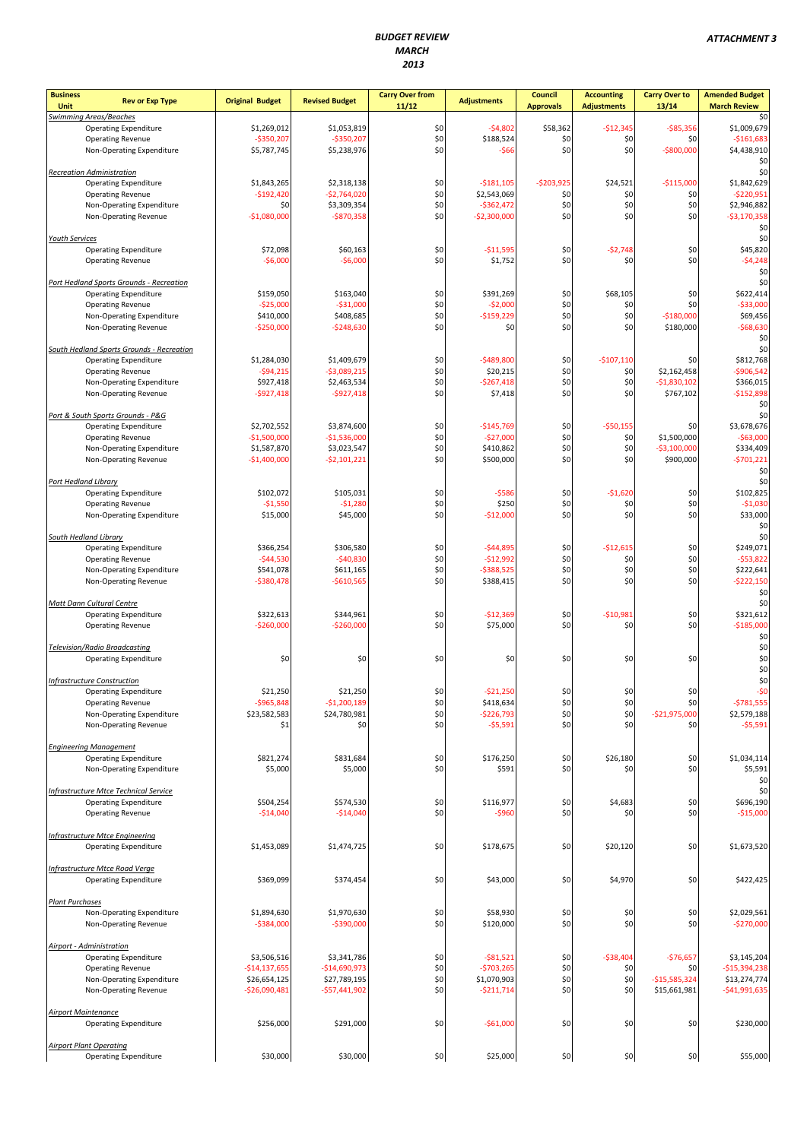| <b>Business</b><br><b>Rev or Exp Type</b><br>Unit                               | <b>Original Budget</b>       | <b>Revised Budget</b>        | <b>Carry Over from</b><br>11/12 | <b>Adjustments</b>         | <b>Council</b><br><b>Approvals</b> | <b>Accounting</b><br><b>Adjustments</b> | <b>Carry Over to</b><br>13/14 | <b>Amended Budget</b><br><b>March Review</b> |
|---------------------------------------------------------------------------------|------------------------------|------------------------------|---------------------------------|----------------------------|------------------------------------|-----------------------------------------|-------------------------------|----------------------------------------------|
| <b>Swimming Areas/Beaches</b>                                                   |                              |                              |                                 |                            |                                    |                                         |                               | \$0                                          |
| <b>Operating Expenditure</b><br><b>Operating Revenue</b>                        | \$1,269,012<br>$-$350,207$   | \$1,053,819<br>$-5350,207$   | \$0<br>\$0                      | $-54,802$<br>\$188,524     | \$58,362<br>\$0                    | $-$12,345$<br>\$0                       | $-$85,356$<br>\$0             | \$1,009,679<br>$-$161,683$                   |
| Non-Operating Expenditure                                                       | \$5,787,745                  | \$5,238,976                  | \$0                             | $-$66$                     | \$0                                | \$0                                     | $-$800,000$                   | \$4,438,910                                  |
|                                                                                 |                              |                              |                                 |                            |                                    |                                         |                               | \$0                                          |
| <b>Recreation Administration</b><br><b>Operating Expenditure</b>                | \$1,843,265                  | \$2,318,138                  | \$0                             | $-5181,105$                | $-$203,925$                        | \$24,521                                | $-$115,000$                   | \$0<br>\$1,842,629                           |
| <b>Operating Revenue</b>                                                        | $-$192,420$                  | $-$2,764,020$                | \$0                             | \$2,543,069                | \$0                                | \$0                                     | \$0                           | $-5220,951$                                  |
| Non-Operating Expenditure                                                       | \$0                          | \$3,309,354                  | \$0                             | $-5362,472$                | \$0                                | \$0                                     | \$0                           | \$2,946,882                                  |
| Non-Operating Revenue                                                           | $-51,080,000$                | $-$870,358$                  | \$0                             | $-52,300,000$              | \$0                                | \$0                                     | \$0                           | $-53,170,358$                                |
| <b>Youth Services</b>                                                           |                              |                              |                                 |                            |                                    |                                         |                               | \$0<br>\$0                                   |
| <b>Operating Expenditure</b>                                                    | \$72,098                     | \$60,163                     | \$0                             | $-$11,595$                 | \$0                                | $-52,748$                               | \$0                           | \$45,820                                     |
| <b>Operating Revenue</b>                                                        | $-$6,000$                    | $-$6,000$                    | \$0                             | \$1,752                    | \$0                                | \$0                                     | \$0                           | $-54,248$                                    |
|                                                                                 |                              |                              |                                 |                            |                                    |                                         |                               | \$0<br>\$0                                   |
| <b>Port Hedland Sports Grounds - Recreation</b><br><b>Operating Expenditure</b> | \$159,050                    | \$163,040                    | \$0                             | \$391,269                  | \$0                                | \$68,105                                | \$0                           | \$622,414                                    |
| <b>Operating Revenue</b>                                                        | $-$25,000$                   | $-531,000$                   | \$0                             | $-$2,000$                  | \$0                                | \$0                                     | \$0                           | $-$33,000$                                   |
| Non-Operating Expenditure                                                       | \$410,000                    | \$408,685                    | \$0                             | $-$159,229$                | \$0                                | \$0                                     | $-$180,000$                   | \$69,456                                     |
| Non-Operating Revenue                                                           | $-$250,000$                  | $-5248,630$                  | \$0                             | \$0                        | \$0                                | \$0                                     | \$180,000                     | $-$68,630$<br>\$0                            |
| South Hedland Sports Grounds - Recreation                                       |                              |                              |                                 |                            |                                    |                                         |                               | \$0                                          |
| <b>Operating Expenditure</b>                                                    | \$1,284,030                  | \$1,409,679                  | \$0                             | $-5489,800$                | \$0                                | $-$107,110$                             | \$0                           | \$812,768                                    |
| <b>Operating Revenue</b>                                                        | $-594,215$                   | $-53,089,215$                | \$0                             | \$20,215                   | \$0                                | \$0                                     | \$2,162,458                   | $-5906,542$                                  |
| Non-Operating Expenditure<br>Non-Operating Revenue                              | \$927,418<br>$-5927,418$     | \$2,463,534<br>$-5927,418$   | \$0<br>\$0                      | $-$267,418$<br>\$7,418     | \$0<br>\$0                         | \$0<br>\$0                              | $-$1,830,102$<br>\$767,102    | \$366,015<br>$-$152,898$                     |
|                                                                                 |                              |                              |                                 |                            |                                    |                                         |                               | \$0                                          |
| Port & South Sports Grounds - P&G                                               |                              |                              |                                 |                            |                                    |                                         |                               | \$0                                          |
| <b>Operating Expenditure</b>                                                    | \$2,702,552                  | \$3,874,600                  | \$0                             | $-$145,769$                | \$0                                | $-$50,155$                              | \$0                           | \$3,678,676                                  |
| <b>Operating Revenue</b>                                                        | $-$1,500,000$                | $-51,536,000$<br>\$3,023,547 | \$0<br>\$0                      | $-$27,000$<br>\$410,862    | \$0<br>\$0                         | \$0<br>\$0                              | \$1,500,000<br>$-$3,100,000$  | $- $63,000$<br>\$334,409                     |
| Non-Operating Expenditure<br>Non-Operating Revenue                              | \$1,587,870<br>$-$1,400,000$ | $-52,101,221$                | \$0                             | \$500,000                  | \$0                                | \$0                                     | \$900,000                     | $-5701,221$                                  |
|                                                                                 |                              |                              |                                 |                            |                                    |                                         |                               | \$0                                          |
| Port Hedland Library                                                            |                              |                              |                                 |                            |                                    |                                         |                               | \$0                                          |
| <b>Operating Expenditure</b><br><b>Operating Revenue</b>                        | \$102,072<br>$-$1,550$       | \$105,031<br>$-51,280$       | \$0<br>\$0                      | $-$586$<br>\$250           | \$0<br>\$0                         | $-$1,620$<br>\$0                        | \$0<br>\$0                    | \$102,825<br>$-51,030$                       |
| Non-Operating Expenditure                                                       | \$15,000                     | \$45,000                     | \$0                             | $-$12,000$                 | \$0                                | \$0                                     | \$0                           | \$33,000                                     |
|                                                                                 |                              |                              |                                 |                            |                                    |                                         |                               | \$0                                          |
| South Hedland Library                                                           |                              |                              |                                 |                            |                                    |                                         |                               | \$0                                          |
| <b>Operating Expenditure</b><br><b>Operating Revenue</b>                        | \$366,254<br>$-$44,530$      | \$306,580<br>$-540,830$      | \$0<br>\$0                      | $-544,895$<br>$-512,992$   | \$0<br>\$0                         | $-$12,615$<br>\$0                       | \$0<br>\$0                    | \$249,071<br>$-$53,822$                      |
| Non-Operating Expenditure                                                       | \$541,078                    | \$611,165                    | \$0                             | $-$ \$388,525              | \$0                                | \$0                                     | \$0                           | \$222,641                                    |
| Non-Operating Revenue                                                           | $-$380,478$                  | $-$ \$610,565                | \$0                             | \$388,415                  | \$0                                | \$0                                     | \$0                           | $-$ \$222,150                                |
|                                                                                 |                              |                              |                                 |                            |                                    |                                         |                               | \$0                                          |
| Matt Dann Cultural Centre<br><b>Operating Expenditure</b>                       | \$322,613                    | \$344,961                    | \$0                             | $-$12,369$                 | \$0                                | $-$10,981$                              | \$0                           | \$0<br>\$321,612                             |
| <b>Operating Revenue</b>                                                        | -\$260,000                   | -\$260,000                   | \$0                             | \$75,000                   | \$0                                | \$0                                     | \$0                           | $-$185,000$                                  |
|                                                                                 |                              |                              |                                 |                            |                                    |                                         |                               | \$0                                          |
| Television/Radio Broadcasting                                                   |                              |                              |                                 |                            |                                    |                                         |                               | \$0                                          |
| <b>Operating Expenditure</b>                                                    | \$0                          | \$0                          | \$0                             | \$0                        | \$0                                | \$0                                     | \$0                           | \$0<br>\$0                                   |
| Infrastructure Construction                                                     |                              |                              |                                 |                            |                                    |                                         |                               | \$0                                          |
| <b>Operating Expenditure</b>                                                    | \$21,250                     | \$21,250                     | \$0                             | $-$21,250$                 | \$0                                | \$0                                     | \$0                           | -\$0                                         |
| <b>Operating Revenue</b>                                                        | $-$965,848$                  | $-$1,200,189$                | \$0<br>\$0                      | \$418,634<br>$-$ \$226,793 | \$0<br>\$0                         | \$0<br>\$0                              | \$0<br>$-$21,975,000$         | $-5781,555$                                  |
| Non-Operating Expenditure<br>Non-Operating Revenue                              | \$23,582,583<br>\$1          | \$24,780,981<br>\$0          | \$0                             | $-55,591$                  | \$0                                | \$0                                     | \$0                           | \$2,579,188<br>$-55,591$                     |
|                                                                                 |                              |                              |                                 |                            |                                    |                                         |                               |                                              |
| <b>Engineering Management</b>                                                   |                              |                              |                                 |                            |                                    |                                         |                               |                                              |
| <b>Operating Expenditure</b>                                                    | \$821,274<br>\$5,000         | \$831,684<br>\$5,000         | \$0<br>\$0                      | \$176,250<br>\$591         | \$0<br>\$0                         | \$26,180<br>\$0                         | \$0<br>\$0                    | \$1,034,114<br>\$5,591                       |
| Non-Operating Expenditure                                                       |                              |                              |                                 |                            |                                    |                                         |                               | \$0                                          |
| <b>Infrastructure Mtce Technical Service</b>                                    |                              |                              |                                 |                            |                                    |                                         |                               | \$0                                          |
| <b>Operating Expenditure</b>                                                    | \$504,254                    | \$574,530                    | \$0                             | \$116,977                  | \$0                                | \$4,683                                 | \$0                           | \$696,190                                    |
| <b>Operating Revenue</b>                                                        | $-$14,040$                   | $-$14,040$                   | \$0                             | $-$960$                    | \$0                                | \$0                                     | \$0                           | $-$15,000$                                   |
| <b>Infrastructure Mtce Engineering</b>                                          |                              |                              |                                 |                            |                                    |                                         |                               |                                              |
| <b>Operating Expenditure</b>                                                    | \$1,453,089                  | \$1,474,725                  | \$0                             | \$178,675                  | \$0                                | \$20,120                                | \$0                           | \$1,673,520                                  |
|                                                                                 |                              |                              |                                 |                            |                                    |                                         |                               |                                              |
| Infrastructure Mtce Road Verge                                                  |                              |                              |                                 |                            |                                    |                                         |                               |                                              |
| <b>Operating Expenditure</b>                                                    | \$369,099                    | \$374,454                    | \$0                             | \$43,000                   | \$0                                | \$4,970                                 | \$0                           | \$422,425                                    |
| <b>Plant Purchases</b>                                                          |                              |                              |                                 |                            |                                    |                                         |                               |                                              |
| Non-Operating Expenditure                                                       | \$1,894,630                  | \$1,970,630                  | \$0                             | \$58,930                   | \$0                                | \$0                                     | \$0                           | \$2,029,561                                  |
| Non-Operating Revenue                                                           | $-$384,000$                  | $-$390,000$                  | \$0                             | \$120,000                  | \$0                                | \$0                                     | \$0                           | $-$270,000$                                  |
|                                                                                 |                              |                              |                                 |                            |                                    |                                         |                               |                                              |
| <b>Airport - Administration</b><br><b>Operating Expenditure</b>                 | \$3,506,516                  | \$3,341,786                  | \$0                             | $-581,521$                 | \$0                                | $-$38,404$                              | $-$76,657$                    | \$3,145,204                                  |
| <b>Operating Revenue</b>                                                        | $-$14,137,655$               | $-$14,690,973$               | \$0                             | $-5703,265$                | \$0                                | \$0                                     | \$0                           | $-$15,394,238$                               |
| Non-Operating Expenditure                                                       | \$26,654,125                 | \$27,789,195                 | \$0                             | \$1,070,903                | \$0                                | \$0                                     | $-$15,585,324$                | \$13,274,774                                 |
| Non-Operating Revenue                                                           | $-$26,090,481$               | $-$57,441,902$               | \$0                             | $-5211,714$                | \$0                                | \$0                                     | \$15,661,981                  | $-$41,991,635$                               |
| <b>Airport Maintenance</b>                                                      |                              |                              |                                 |                            |                                    |                                         |                               |                                              |
| <b>Operating Expenditure</b>                                                    | \$256,000                    | \$291,000                    | \$0                             | -\$61,000                  | \$0                                | \$0                                     | \$0                           | \$230,000                                    |
|                                                                                 |                              |                              |                                 |                            |                                    |                                         |                               |                                              |
| <b>Airport Plant Operating</b>                                                  |                              |                              |                                 |                            |                                    |                                         |                               |                                              |
| <b>Operating Expenditure</b>                                                    | \$30,000                     | \$30,000                     | \$0                             | \$25,000                   | \$0                                | \$0                                     | \$0                           | \$55,000                                     |